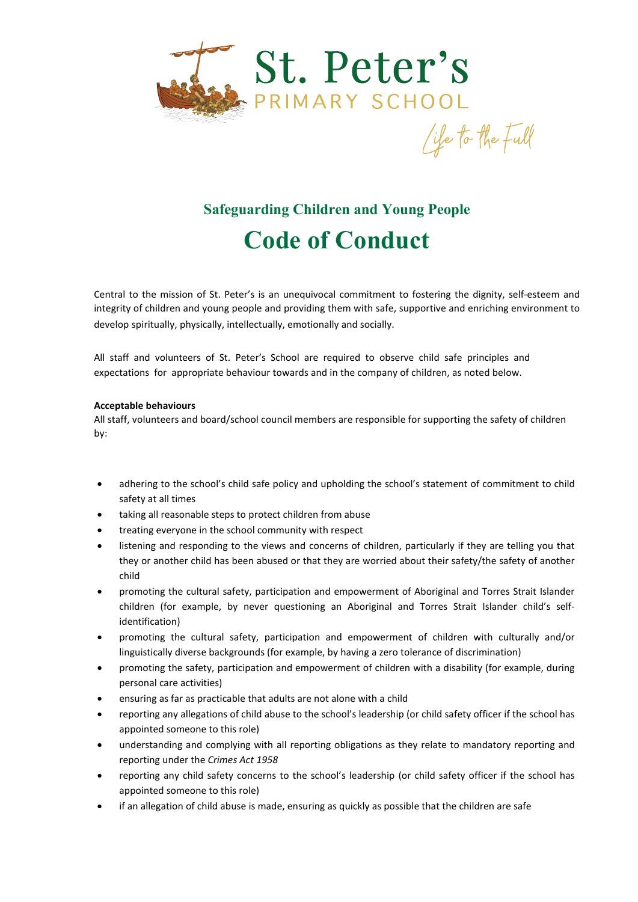

## **Safeguarding Children and Young People Code of Conduct**

Central to the mission of St. Peter's is an unequivocal commitment to fostering the dignity, self-esteem and integrity of children and young people and providing them with safe, supportive and enriching environment to develop spiritually, physically, intellectually, emotionally and socially.

All staff and volunteers of St. Peter's School are required to observe child safe principles and expectations for appropriate behaviour towards and in the company of children, as noted below.

## **Acceptable behaviours**

All staff, volunteers and board/school council members are responsible for supporting the safety of children by:

- adhering to the school's child safe policy and upholding the school's statement of commitment to child safety at all times
- taking all reasonable steps to protect children from abuse
- treating everyone in the school community with respect
- listening and responding to the views and concerns of children, particularly if they are telling you that they or another child has been abused or that they are worried about their safety/the safety of another child
- promoting the cultural safety, participation and empowerment of Aboriginal and Torres Strait Islander children (for example, by never questioning an Aboriginal and Torres Strait Islander child's selfidentification)
- promoting the cultural safety, participation and empowerment of children with culturally and/or linguistically diverse backgrounds (for example, by having a zero tolerance of discrimination)
- promoting the safety, participation and empowerment of children with a disability (for example, during personal care activities)
- ensuring as far as practicable that adults are not alone with a child
- reporting any allegations of child abuse to the school's leadership (or child safety officer if the school has appointed someone to this role)
- understanding and complying with all reporting obligations as they relate to mandatory reporting and reporting under the *Crimes Act 1958*
- reporting any child safety concerns to the school's leadership (or child safety officer if the school has appointed someone to this role)
- if an allegation of child abuse is made, ensuring as quickly as possible that the children are safe